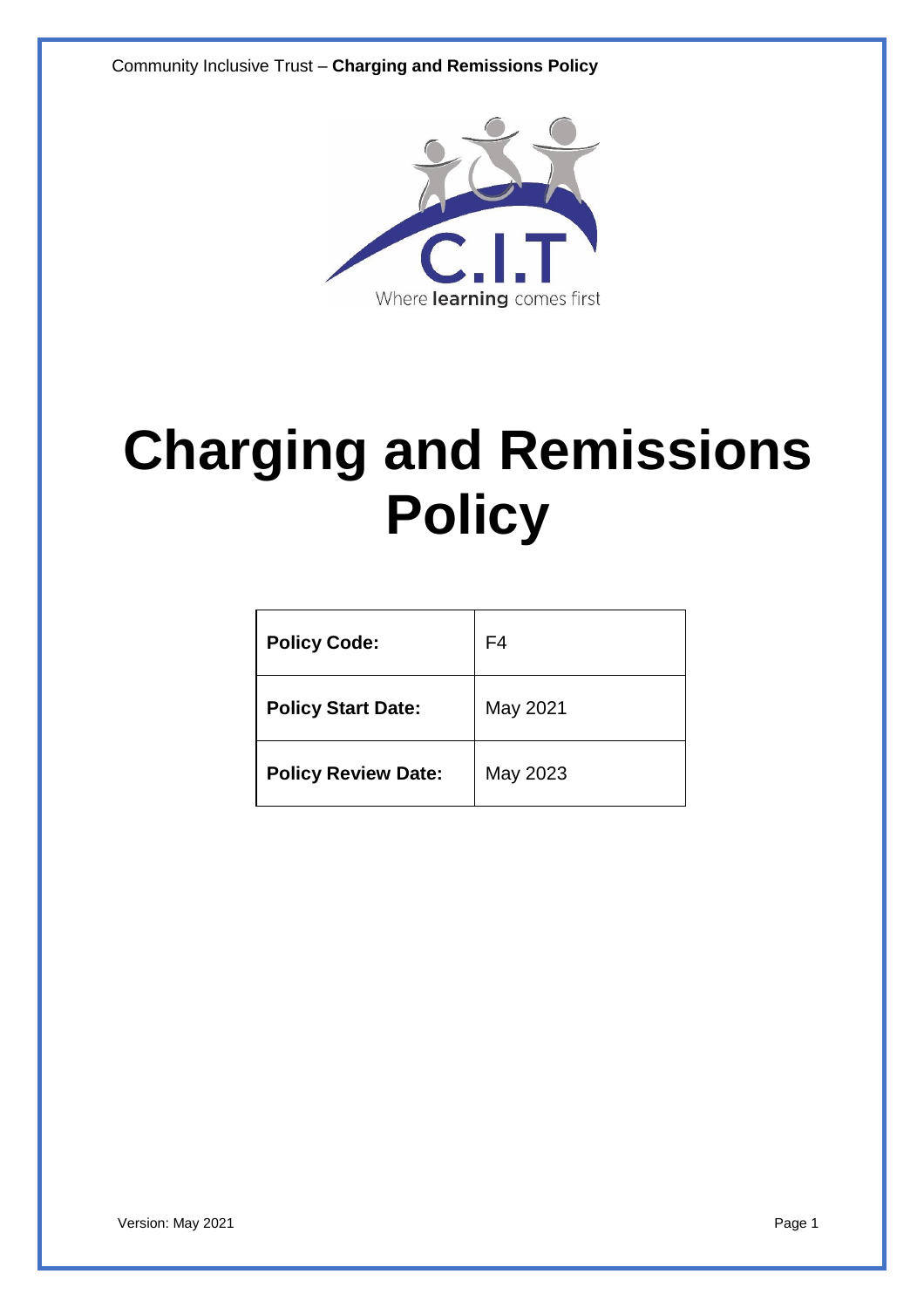Community Inclusive Trust – **Charging and Remissions Policy**



# **Charging and Remissions Policy**

| <b>Policy Code:</b>        | F4       |
|----------------------------|----------|
| <b>Policy Start Date:</b>  | May 2021 |
| <b>Policy Review Date:</b> | May 2023 |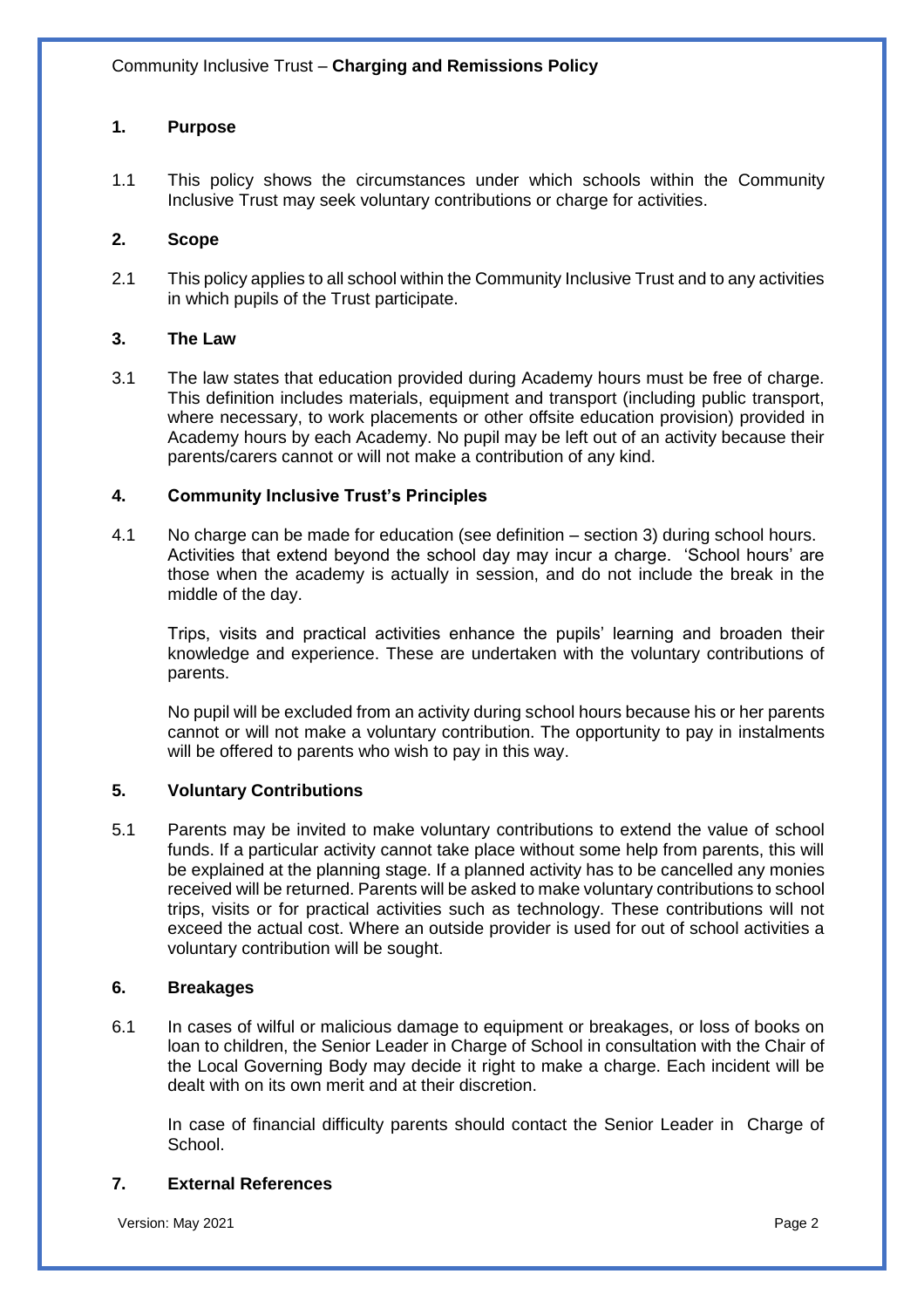## **1. Purpose**

1.1 This policy shows the circumstances under which schools within the Community Inclusive Trust may seek voluntary contributions or charge for activities.

### **2. Scope**

2.1 This policy applies to all school within the Community Inclusive Trust and to any activities in which pupils of the Trust participate.

### **3. The Law**

3.1 The law states that education provided during Academy hours must be free of charge. This definition includes materials, equipment and transport (including public transport, where necessary, to work placements or other offsite education provision) provided in Academy hours by each Academy. No pupil may be left out of an activity because their parents/carers cannot or will not make a contribution of any kind.

### **4. Community Inclusive Trust's Principles**

4.1 No charge can be made for education (see definition – section 3) during school hours. Activities that extend beyond the school day may incur a charge. 'School hours' are those when the academy is actually in session, and do not include the break in the middle of the day.

Trips, visits and practical activities enhance the pupils' learning and broaden their knowledge and experience. These are undertaken with the voluntary contributions of parents.

No pupil will be excluded from an activity during school hours because his or her parents cannot or will not make a voluntary contribution. The opportunity to pay in instalments will be offered to parents who wish to pay in this way.

## **5. Voluntary Contributions**

5.1 Parents may be invited to make voluntary contributions to extend the value of school funds. If a particular activity cannot take place without some help from parents, this will be explained at the planning stage. If a planned activity has to be cancelled any monies received will be returned. Parents will be asked to make voluntary contributions to school trips, visits or for practical activities such as technology. These contributions will not exceed the actual cost. Where an outside provider is used for out of school activities a voluntary contribution will be sought.

#### **6. Breakages**

6.1 In cases of wilful or malicious damage to equipment or breakages, or loss of books on loan to children, the Senior Leader in Charge of School in consultation with the Chair of the Local Governing Body may decide it right to make a charge. Each incident will be dealt with on its own merit and at their discretion.

In case of financial difficulty parents should contact the Senior Leader in Charge of School.

## **7. External References**

Version: May 2021 **Page 2** Page 2